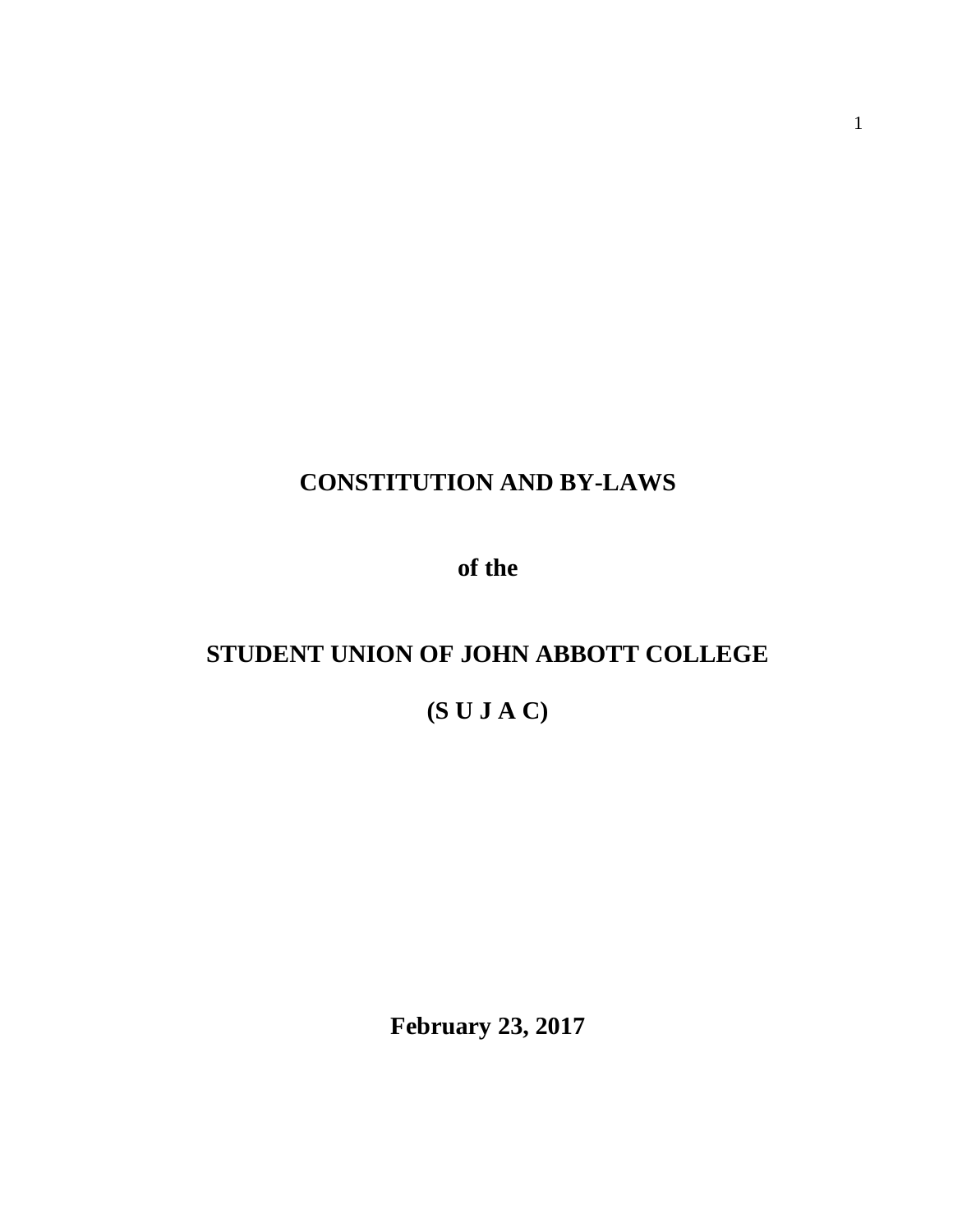# **CONSTITUTION AND BY-LAWS**

**of the**

# **STUDENT UNION OF JOHN ABBOTT COLLEGE**

# **(S U J A C)**

**February 23, 2017**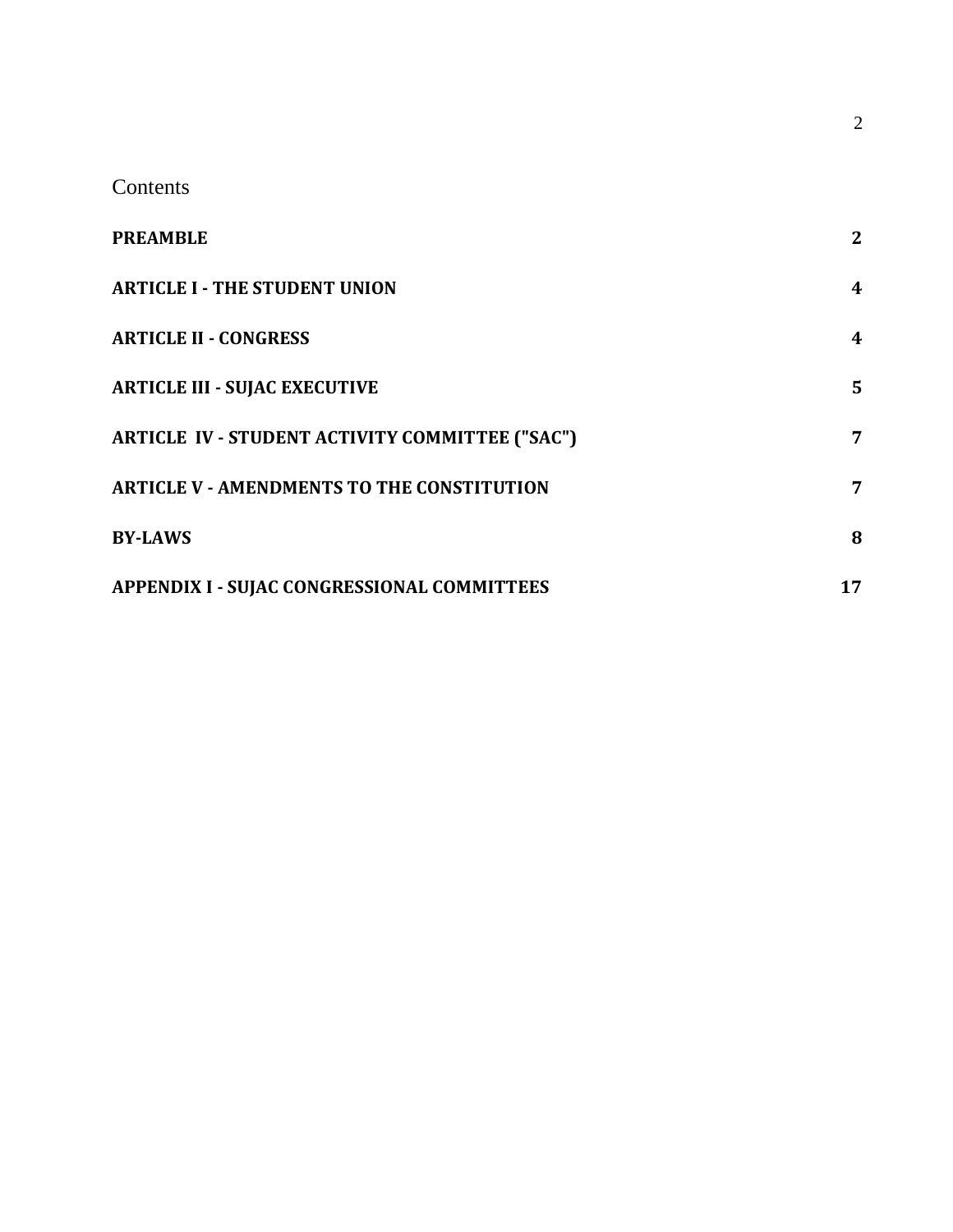Contents

| <b>PREAMBLE</b>                                        | $\mathbf{2}$ |
|--------------------------------------------------------|--------------|
| <b>ARTICLE I - THE STUDENT UNION</b>                   | 4            |
| <b>ARTICLE II - CONGRESS</b>                           | 4            |
| <b>ARTICLE III - SUJAC EXECUTIVE</b>                   | 5            |
| <b>ARTICLE IV - STUDENT ACTIVITY COMMITTEE ("SAC")</b> | 7            |
| <b>ARTICLE V - AMENDMENTS TO THE CONSTITUTION</b>      | 7            |
| <b>BY-LAWS</b>                                         | 8            |
| <b>APPENDIX I - SUJAC CONGRESSIONAL COMMITTEES</b>     | 17           |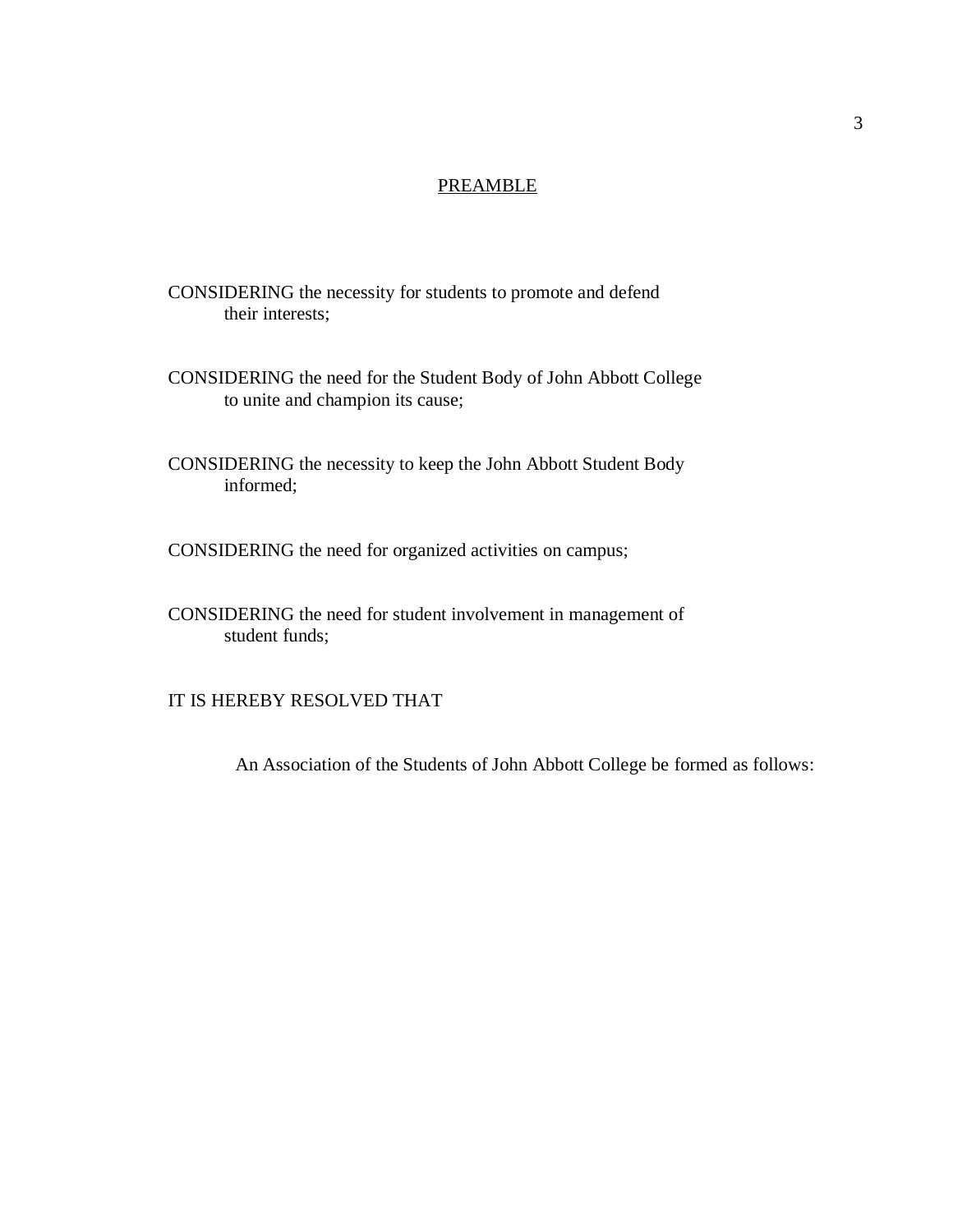### PREAMBLE

CONSIDERING the necessity for students to promote and defend their interests;

CONSIDERING the need for the Student Body of John Abbott College to unite and champion its cause;

CONSIDERING the necessity to keep the John Abbott Student Body informed;

CONSIDERING the need for organized activities on campus;

CONSIDERING the need for student involvement in management of student funds;

IT IS HEREBY RESOLVED THAT

An Association of the Students of John Abbott College be formed as follows: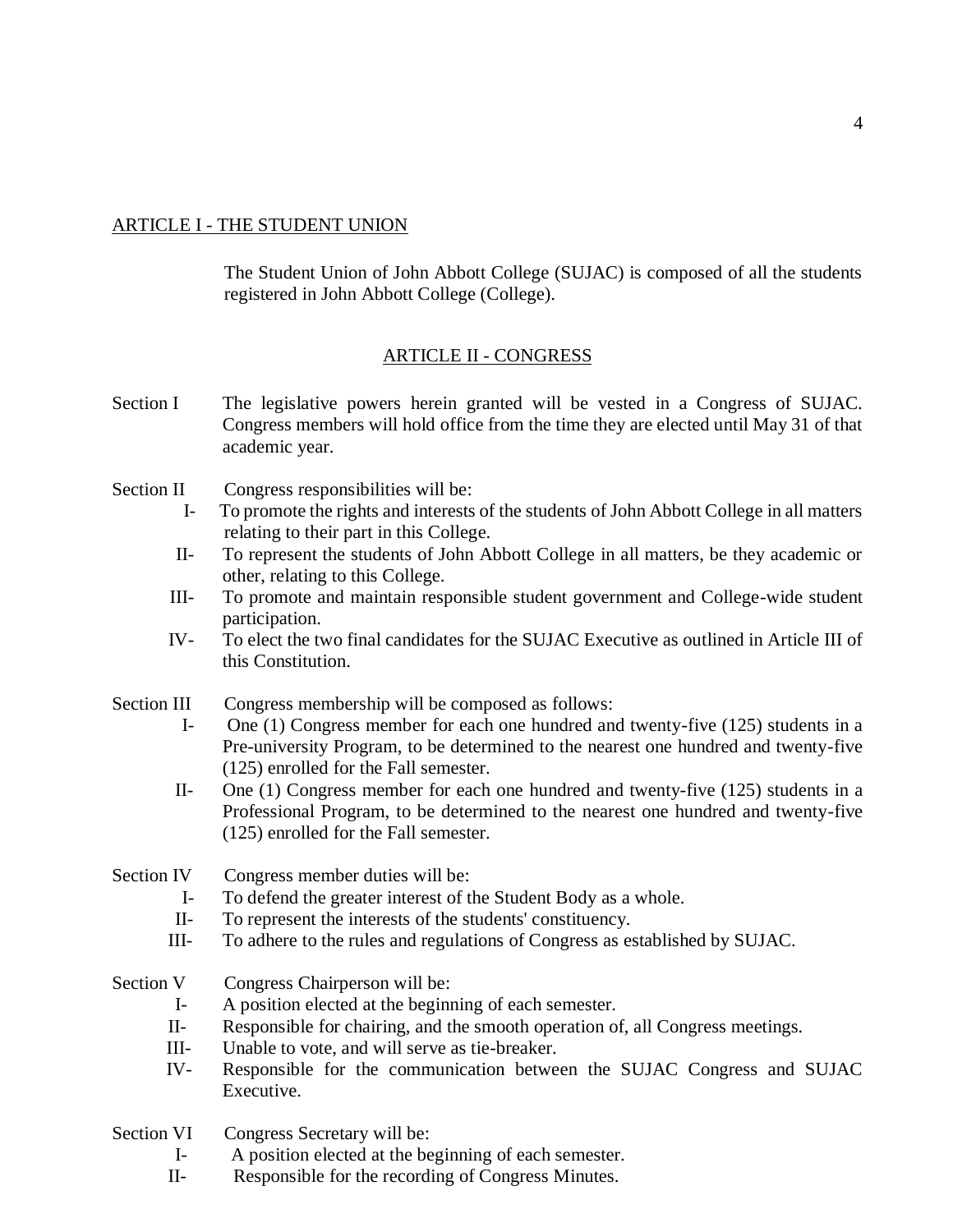## ARTICLE I - THE STUDENT UNION

The Student Union of John Abbott College (SUJAC) is composed of all the students registered in John Abbott College (College).

# ARTICLE II - CONGRESS

- Section I The legislative powers herein granted will be vested in a Congress of SUJAC. Congress members will hold office from the time they are elected until May 31 of that academic year.
- Section II Congress responsibilities will be:
	- I- To promote the rights and interests of the students of John Abbott College in all matters relating to their part in this College.
	- II- To represent the students of John Abbott College in all matters, be they academic or other, relating to this College.
	- III- To promote and maintain responsible student government and College-wide student participation.
	- IV- To elect the two final candidates for the SUJAC Executive as outlined in Article III of this Constitution.

### Section III Congress membership will be composed as follows:

- I- One (1) Congress member for each one hundred and twenty-five (125) students in a Pre-university Program, to be determined to the nearest one hundred and twenty-five (125) enrolled for the Fall semester.
- II- One (1) Congress member for each one hundred and twenty-five (125) students in a Professional Program, to be determined to the nearest one hundred and twenty-five (125) enrolled for the Fall semester.

Section IV Congress member duties will be:

- I- To defend the greater interest of the Student Body as a whole.
- II- To represent the interests of the students' constituency.
- III- To adhere to the rules and regulations of Congress as established by SUJAC.
- Section V Congress Chairperson will be:
	- I- A position elected at the beginning of each semester.
	- II- Responsible for chairing, and the smooth operation of, all Congress meetings.
	- III- Unable to vote, and will serve as tie-breaker.
	- IV- Responsible for the communication between the SUJAC Congress and SUJAC Executive.

Section VI Congress Secretary will be:

- I- A position elected at the beginning of each semester.
- II- Responsible for the recording of Congress Minutes.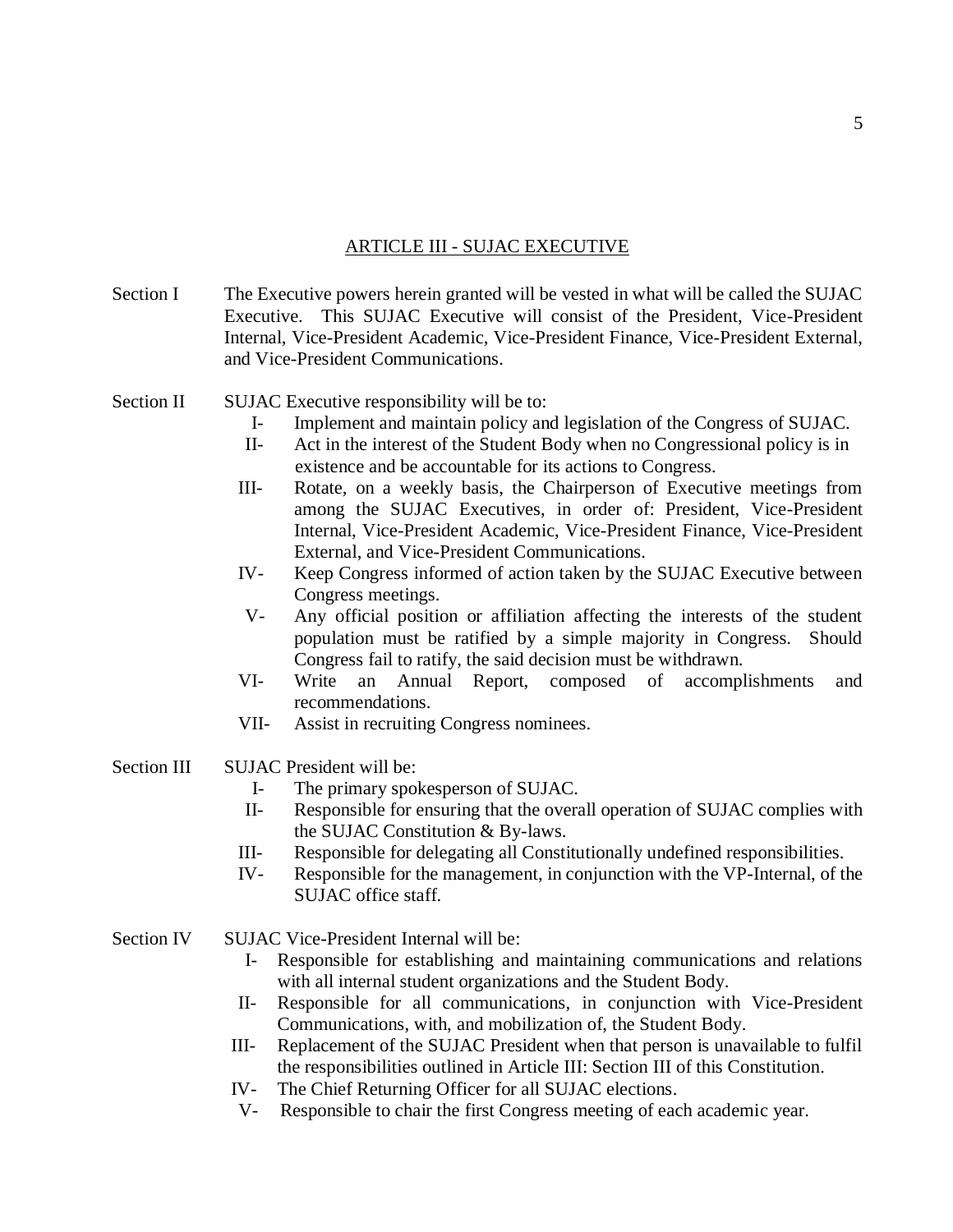## ARTICLE III - SUJAC EXECUTIVE

Section I The Executive powers herein granted will be vested in what will be called the SUJAC Executive. This SUJAC Executive will consist of the President, Vice-President Internal, Vice-President Academic, Vice-President Finance, Vice-President External, and Vice-President Communications.

Section II SUJAC Executive responsibility will be to:

- I- Implement and maintain policy and legislation of the Congress of SUJAC.
- II- Act in the interest of the Student Body when no Congressional policy is in existence and be accountable for its actions to Congress.
- III- Rotate, on a weekly basis, the Chairperson of Executive meetings from among the SUJAC Executives, in order of: President, Vice-President Internal, Vice-President Academic, Vice-President Finance, Vice-President External, and Vice-President Communications.
- IV- Keep Congress informed of action taken by the SUJAC Executive between Congress meetings.
- V- Any official position or affiliation affecting the interests of the student population must be ratified by a simple majority in Congress. Should Congress fail to ratify, the said decision must be withdrawn.
- VI- Write an Annual Report, composed of accomplishments and recommendations.
- VII- Assist in recruiting Congress nominees.
- Section III SUJAC President will be:
	- I- The primary spokesperson of SUJAC.
	- II- Responsible for ensuring that the overall operation of SUJAC complies with the SUJAC Constitution & By-laws.
	- III- Responsible for delegating all Constitutionally undefined responsibilities.
	- IV- Responsible for the management, in conjunction with the VP-Internal, of the SUJAC office staff.
- Section IV SUJAC Vice-President Internal will be:
	- I- Responsible for establishing and maintaining communications and relations with all internal student organizations and the Student Body.
	- II- Responsible for all communications, in conjunction with Vice-President Communications, with, and mobilization of, the Student Body.
	- III- Replacement of the SUJAC President when that person is unavailable to fulfil the responsibilities outlined in Article III: Section III of this Constitution.
	- IV- The Chief Returning Officer for all SUJAC elections.
	- V- Responsible to chair the first Congress meeting of each academic year.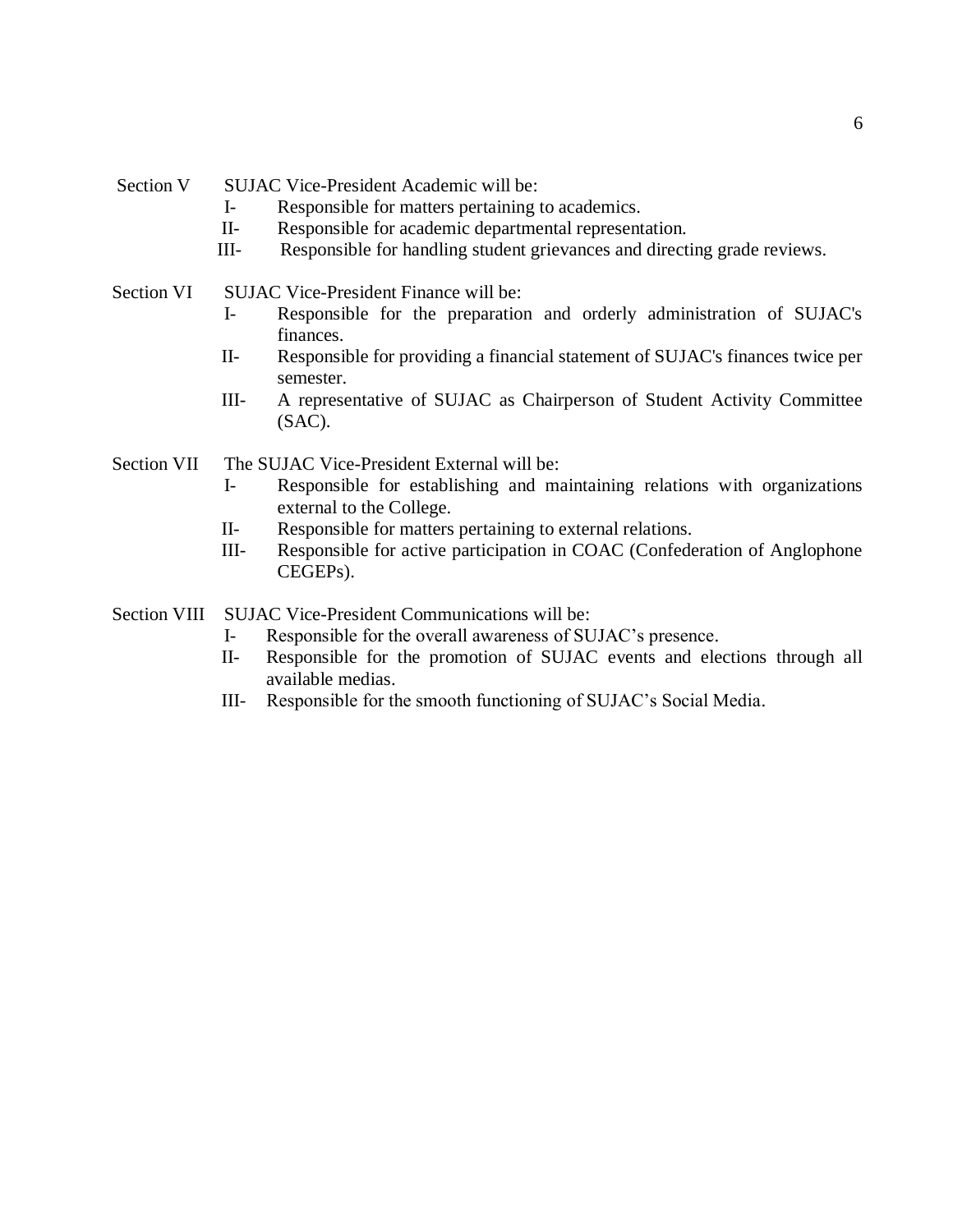- I- Responsible for matters pertaining to academics.
- II- Responsible for academic departmental representation.
- III- Responsible for handling student grievances and directing grade reviews.

#### Section VI SUJAC Vice-President Finance will be:

- I- Responsible for the preparation and orderly administration of SUJAC's finances.
- II- Responsible for providing a financial statement of SUJAC's finances twice per semester.
- III- A representative of SUJAC as Chairperson of Student Activity Committee (SAC).

Section VII The SUJAC Vice-President External will be:

- I- Responsible for establishing and maintaining relations with organizations external to the College.
- II- Responsible for matters pertaining to external relations.
- III- Responsible for active participation in COAC (Confederation of Anglophone CEGEPs).

Section VIII SUJAC Vice-President Communications will be:

- I- Responsible for the overall awareness of SUJAC's presence.
- II- Responsible for the promotion of SUJAC events and elections through all available medias.
- III- Responsible for the smooth functioning of SUJAC's Social Media.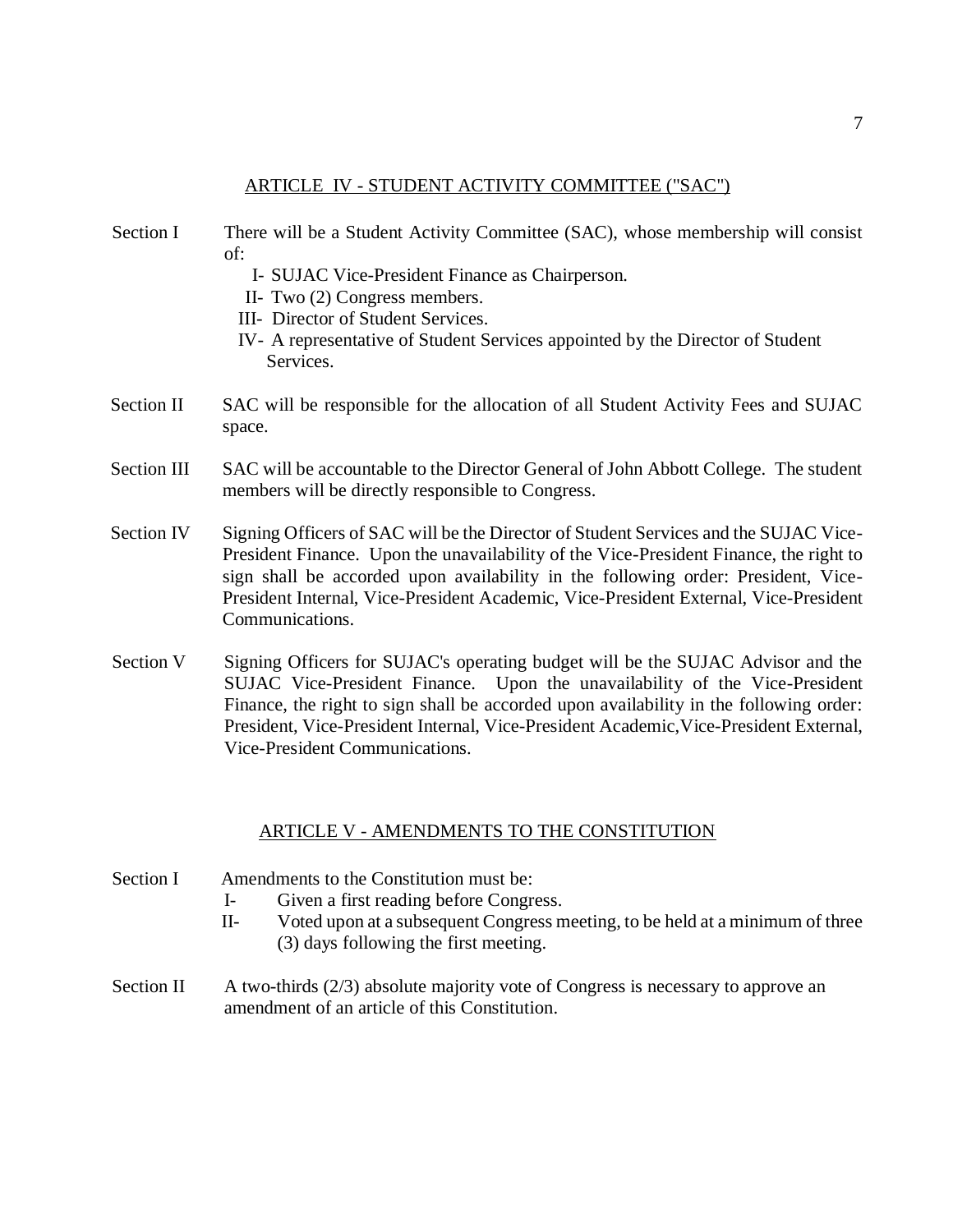### ARTICLE IV - STUDENT ACTIVITY COMMITTEE ("SAC")

- Section I There will be a Student Activity Committee (SAC), whose membership will consist of:
	- I- SUJAC Vice-President Finance as Chairperson.
	- II- Two (2) Congress members.
	- III- Director of Student Services.
	- IV- A representative of Student Services appointed by the Director of Student Services.
- Section II SAC will be responsible for the allocation of all Student Activity Fees and SUJAC space.
- Section III SAC will be accountable to the Director General of John Abbott College. The student members will be directly responsible to Congress.
- Section IV Signing Officers of SAC will be the Director of Student Services and the SUJAC Vice-President Finance. Upon the unavailability of the Vice-President Finance, the right to sign shall be accorded upon availability in the following order: President, Vice-President Internal, Vice-President Academic, Vice-President External, Vice-President Communications.
- Section V Signing Officers for SUJAC's operating budget will be the SUJAC Advisor and the SUJAC Vice-President Finance. Upon the unavailability of the Vice-President Finance, the right to sign shall be accorded upon availability in the following order: President, Vice-President Internal, Vice-President Academic,Vice-President External, Vice-President Communications.

### ARTICLE V - AMENDMENTS TO THE CONSTITUTION

- Section I Amendments to the Constitution must be:
	- I- Given a first reading before Congress.
	- II- Voted upon at a subsequent Congress meeting, to be held at a minimum of three (3) days following the first meeting.
- Section II A two-thirds (2/3) absolute majority vote of Congress is necessary to approve an amendment of an article of this Constitution.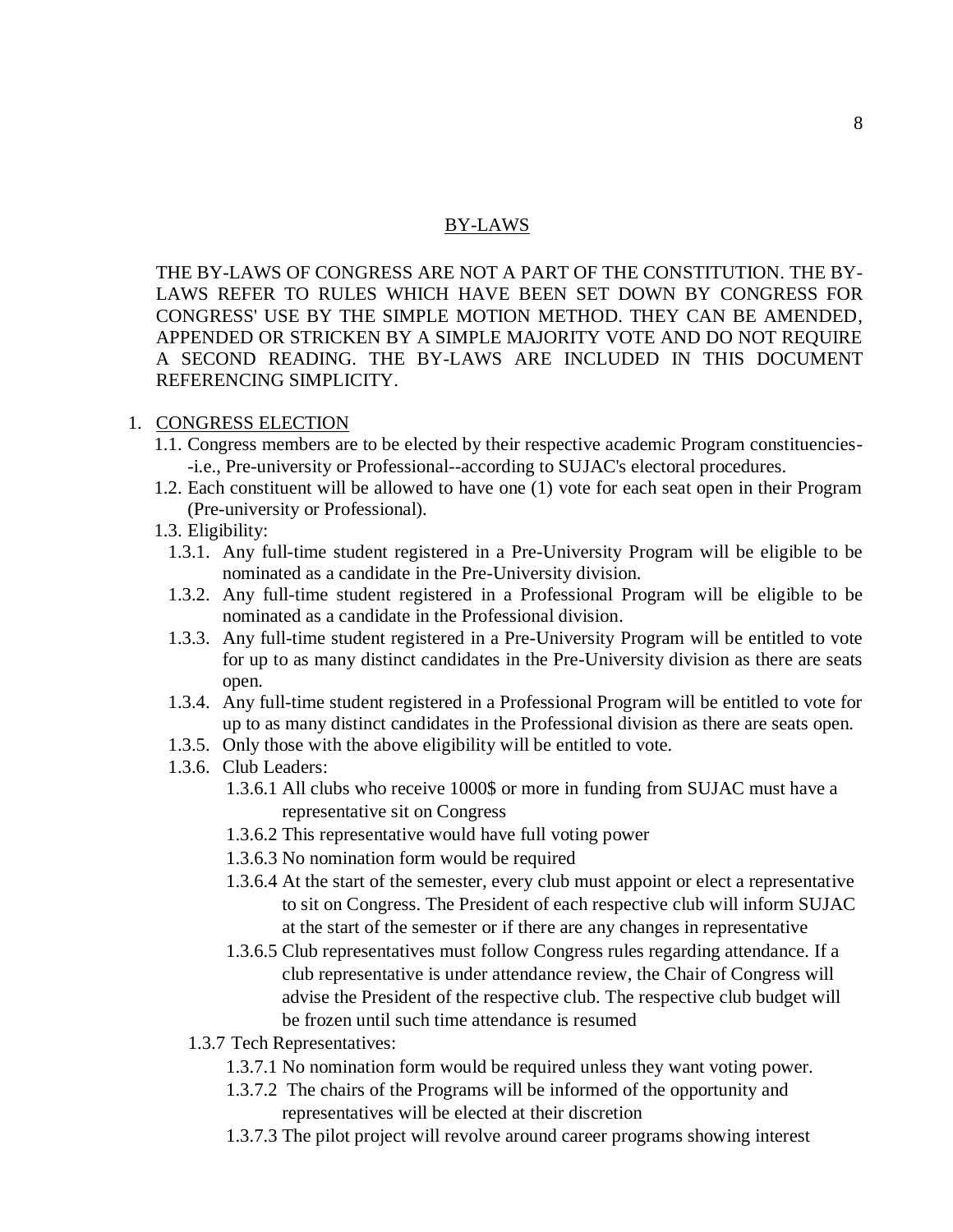### BY-LAWS

THE BY-LAWS OF CONGRESS ARE NOT A PART OF THE CONSTITUTION. THE BY-LAWS REFER TO RULES WHICH HAVE BEEN SET DOWN BY CONGRESS FOR CONGRESS' USE BY THE SIMPLE MOTION METHOD. THEY CAN BE AMENDED, APPENDED OR STRICKEN BY A SIMPLE MAJORITY VOTE AND DO NOT REQUIRE A SECOND READING. THE BY-LAWS ARE INCLUDED IN THIS DOCUMENT REFERENCING SIMPLICITY.

### 1. CONGRESS ELECTION

- 1.1. Congress members are to be elected by their respective academic Program constituencies- -i.e., Pre-university or Professional--according to SUJAC's electoral procedures.
- 1.2. Each constituent will be allowed to have one (1) vote for each seat open in their Program (Pre-university or Professional).
- 1.3. Eligibility:
	- 1.3.1. Any full-time student registered in a Pre-University Program will be eligible to be nominated as a candidate in the Pre-University division.
	- 1.3.2. Any full-time student registered in a Professional Program will be eligible to be nominated as a candidate in the Professional division.
	- 1.3.3. Any full-time student registered in a Pre-University Program will be entitled to vote for up to as many distinct candidates in the Pre-University division as there are seats open.
	- 1.3.4. Any full-time student registered in a Professional Program will be entitled to vote for up to as many distinct candidates in the Professional division as there are seats open.
	- 1.3.5. Only those with the above eligibility will be entitled to vote.
	- 1.3.6. Club Leaders:
		- 1.3.6.1 All clubs who receive 1000\$ or more in funding from SUJAC must have a representative sit on Congress
		- 1.3.6.2 This representative would have full voting power
		- 1.3.6.3 No nomination form would be required
		- 1.3.6.4 At the start of the semester, every club must appoint or elect a representative to sit on Congress. The President of each respective club will inform SUJAC at the start of the semester or if there are any changes in representative
		- 1.3.6.5 Club representatives must follow Congress rules regarding attendance. If a club representative is under attendance review, the Chair of Congress will advise the President of the respective club. The respective club budget will be frozen until such time attendance is resumed
		- 1.3.7 Tech Representatives:
			- 1.3.7.1 No nomination form would be required unless they want voting power.
			- 1.3.7.2 The chairs of the Programs will be informed of the opportunity and representatives will be elected at their discretion
			- 1.3.7.3 The pilot project will revolve around career programs showing interest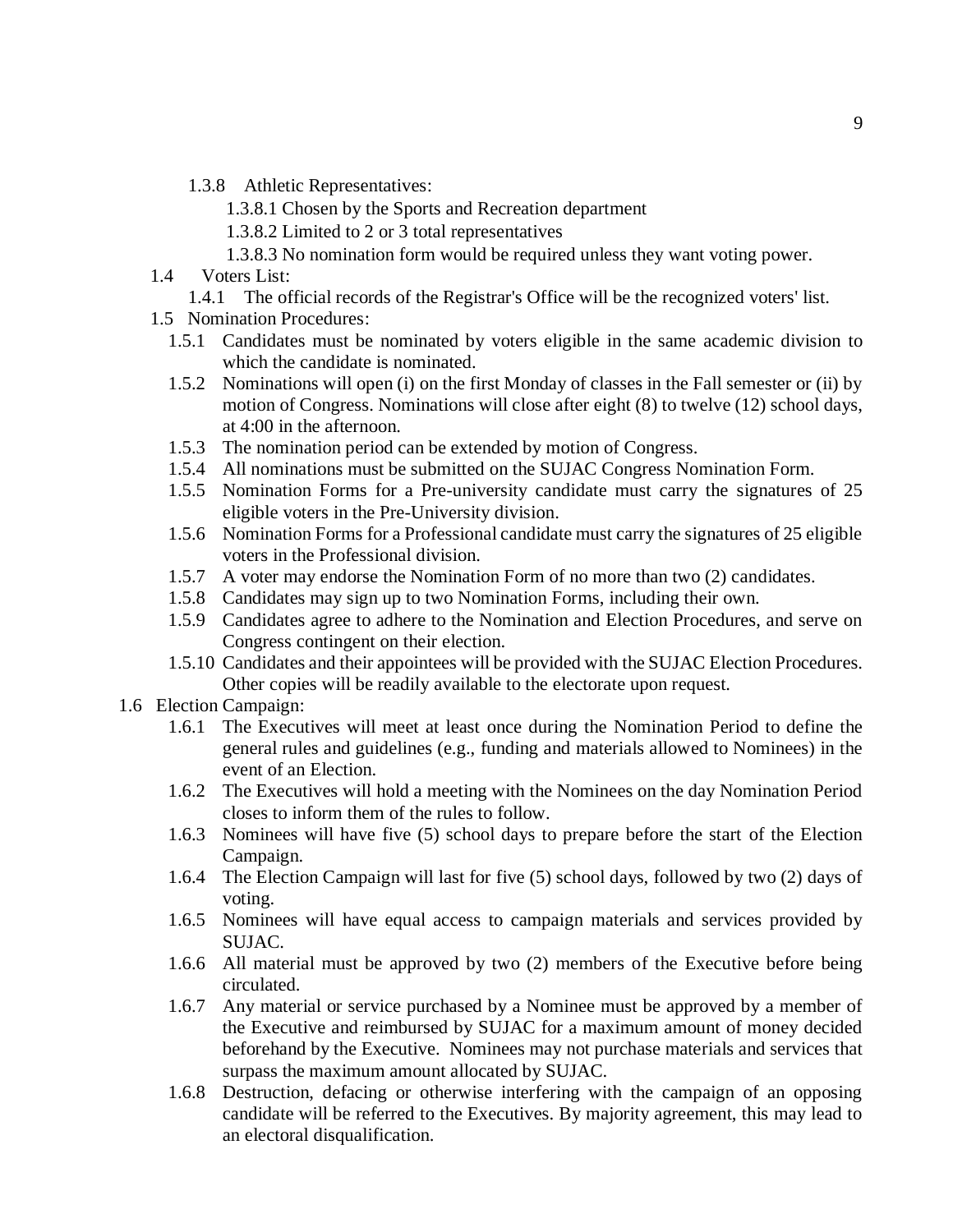- 1.3.8 Athletic Representatives:
	- 1.3.8.1 Chosen by the Sports and Recreation department
	- 1.3.8.2 Limited to 2 or 3 total representatives
	- 1.3.8.3 No nomination form would be required unless they want voting power.
- 1.4 Voters List:
	- 1.4.1 The official records of the Registrar's Office will be the recognized voters' list.
- 1.5 Nomination Procedures:
	- 1.5.1 Candidates must be nominated by voters eligible in the same academic division to which the candidate is nominated.
	- 1.5.2 Nominations will open (i) on the first Monday of classes in the Fall semester or (ii) by motion of Congress. Nominations will close after eight (8) to twelve (12) school days, at 4:00 in the afternoon.
	- 1.5.3 The nomination period can be extended by motion of Congress.
	- 1.5.4 All nominations must be submitted on the SUJAC Congress Nomination Form.
	- 1.5.5 Nomination Forms for a Pre-university candidate must carry the signatures of 25 eligible voters in the Pre-University division.
	- 1.5.6 Nomination Forms for a Professional candidate must carry the signatures of 25 eligible voters in the Professional division.
	- 1.5.7 A voter may endorse the Nomination Form of no more than two (2) candidates.
	- 1.5.8 Candidates may sign up to two Nomination Forms, including their own.
	- 1.5.9 Candidates agree to adhere to the Nomination and Election Procedures, and serve on Congress contingent on their election.
	- 1.5.10 Candidates and their appointees will be provided with the SUJAC Election Procedures. Other copies will be readily available to the electorate upon request.
- 1.6 Election Campaign:
	- 1.6.1 The Executives will meet at least once during the Nomination Period to define the general rules and guidelines (e.g., funding and materials allowed to Nominees) in the event of an Election.
	- 1.6.2 The Executives will hold a meeting with the Nominees on the day Nomination Period closes to inform them of the rules to follow.
	- 1.6.3 Nominees will have five (5) school days to prepare before the start of the Election Campaign.
	- 1.6.4 The Election Campaign will last for five (5) school days, followed by two (2) days of voting.
	- 1.6.5 Nominees will have equal access to campaign materials and services provided by SUJAC.
	- 1.6.6 All material must be approved by two (2) members of the Executive before being circulated.
	- 1.6.7 Any material or service purchased by a Nominee must be approved by a member of the Executive and reimbursed by SUJAC for a maximum amount of money decided beforehand by the Executive. Nominees may not purchase materials and services that surpass the maximum amount allocated by SUJAC.
	- 1.6.8 Destruction, defacing or otherwise interfering with the campaign of an opposing candidate will be referred to the Executives. By majority agreement, this may lead to an electoral disqualification.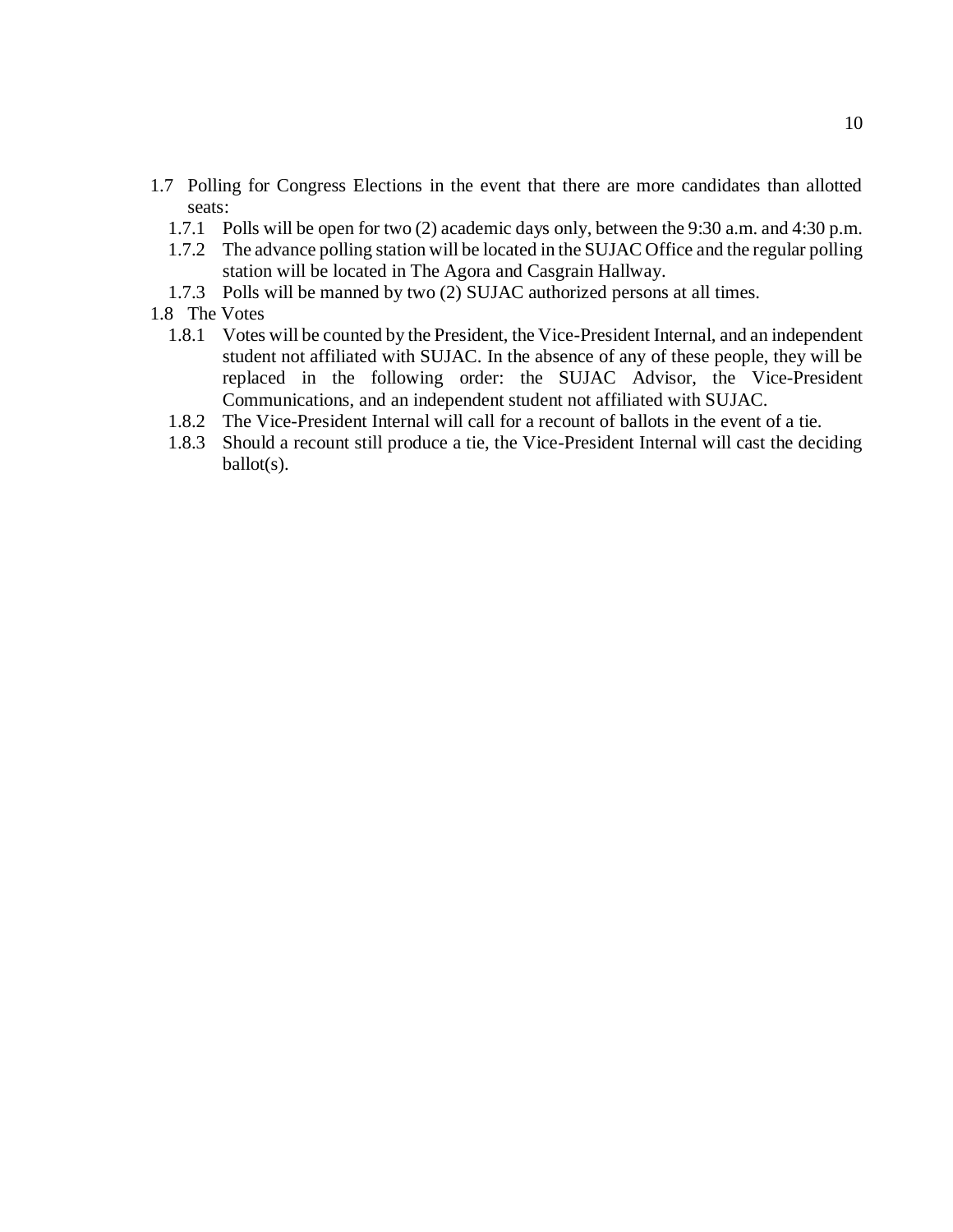- 1.7 Polling for Congress Elections in the event that there are more candidates than allotted seats:
	- 1.7.1 Polls will be open for two (2) academic days only, between the 9:30 a.m. and 4:30 p.m.
	- 1.7.2 The advance polling station will be located in the SUJAC Office and the regular polling station will be located in The Agora and Casgrain Hallway.
	- 1.7.3 Polls will be manned by two (2) SUJAC authorized persons at all times.
- 1.8 The Votes
	- 1.8.1 Votes will be counted by the President, the Vice-President Internal, and an independent student not affiliated with SUJAC. In the absence of any of these people, they will be replaced in the following order: the SUJAC Advisor, the Vice-President Communications, and an independent student not affiliated with SUJAC.
	- 1.8.2 The Vice-President Internal will call for a recount of ballots in the event of a tie.
	- 1.8.3 Should a recount still produce a tie, the Vice-President Internal will cast the deciding ballot(s).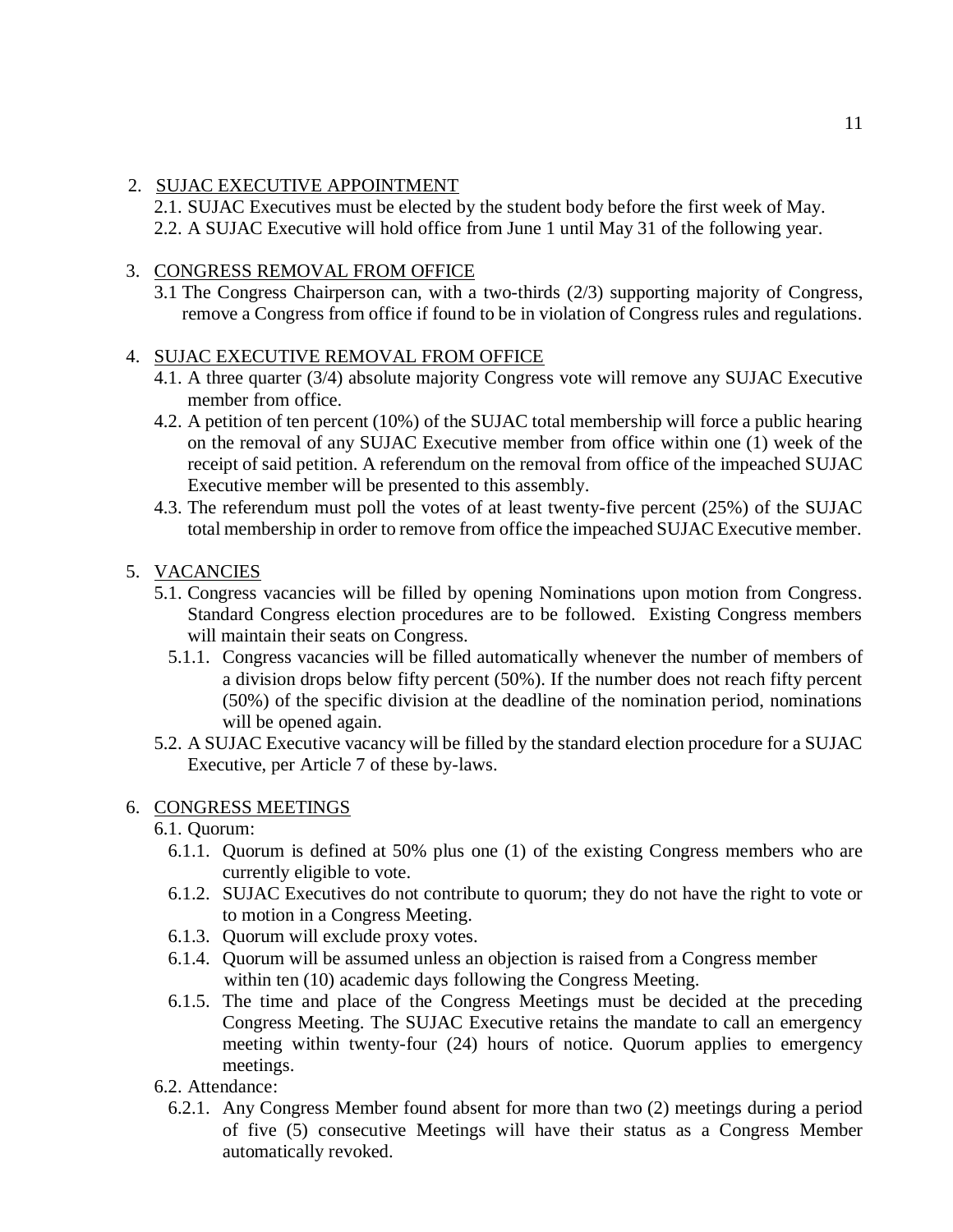# 2. SUJAC EXECUTIVE APPOINTMENT

2.1. SUJAC Executives must be elected by the student body before the first week of May. 2.2. A SUJAC Executive will hold office from June 1 until May 31 of the following year.

# 3. CONGRESS REMOVAL FROM OFFICE

3.1 The Congress Chairperson can, with a two-thirds (2/3) supporting majority of Congress, remove a Congress from office if found to be in violation of Congress rules and regulations.

# 4. SUJAC EXECUTIVE REMOVAL FROM OFFICE

- 4.1. A three quarter (3/4) absolute majority Congress vote will remove any SUJAC Executive member from office.
- 4.2. A petition of ten percent (10%) of the SUJAC total membership will force a public hearing on the removal of any SUJAC Executive member from office within one (1) week of the receipt of said petition. A referendum on the removal from office of the impeached SUJAC Executive member will be presented to this assembly.
- 4.3. The referendum must poll the votes of at least twenty-five percent (25%) of the SUJAC total membership in order to remove from office the impeached SUJAC Executive member.

# 5. VACANCIES

- 5.1. Congress vacancies will be filled by opening Nominations upon motion from Congress. Standard Congress election procedures are to be followed. Existing Congress members will maintain their seats on Congress.
	- 5.1.1. Congress vacancies will be filled automatically whenever the number of members of a division drops below fifty percent (50%). If the number does not reach fifty percent (50%) of the specific division at the deadline of the nomination period, nominations will be opened again.
- 5.2. A SUJAC Executive vacancy will be filled by the standard election procedure for a SUJAC Executive, per Article 7 of these by-laws.

## 6. CONGRESS MEETINGS

- 6.1. Quorum:
	- 6.1.1. Quorum is defined at 50% plus one (1) of the existing Congress members who are currently eligible to vote.
	- 6.1.2. SUJAC Executives do not contribute to quorum; they do not have the right to vote or to motion in a Congress Meeting.
	- 6.1.3. Quorum will exclude proxy votes.
	- 6.1.4. Quorum will be assumed unless an objection is raised from a Congress member within ten (10) academic days following the Congress Meeting.
	- 6.1.5. The time and place of the Congress Meetings must be decided at the preceding Congress Meeting. The SUJAC Executive retains the mandate to call an emergency meeting within twenty-four (24) hours of notice. Quorum applies to emergency meetings.
- 6.2. Attendance:
	- 6.2.1. Any Congress Member found absent for more than two (2) meetings during a period of five (5) consecutive Meetings will have their status as a Congress Member automatically revoked.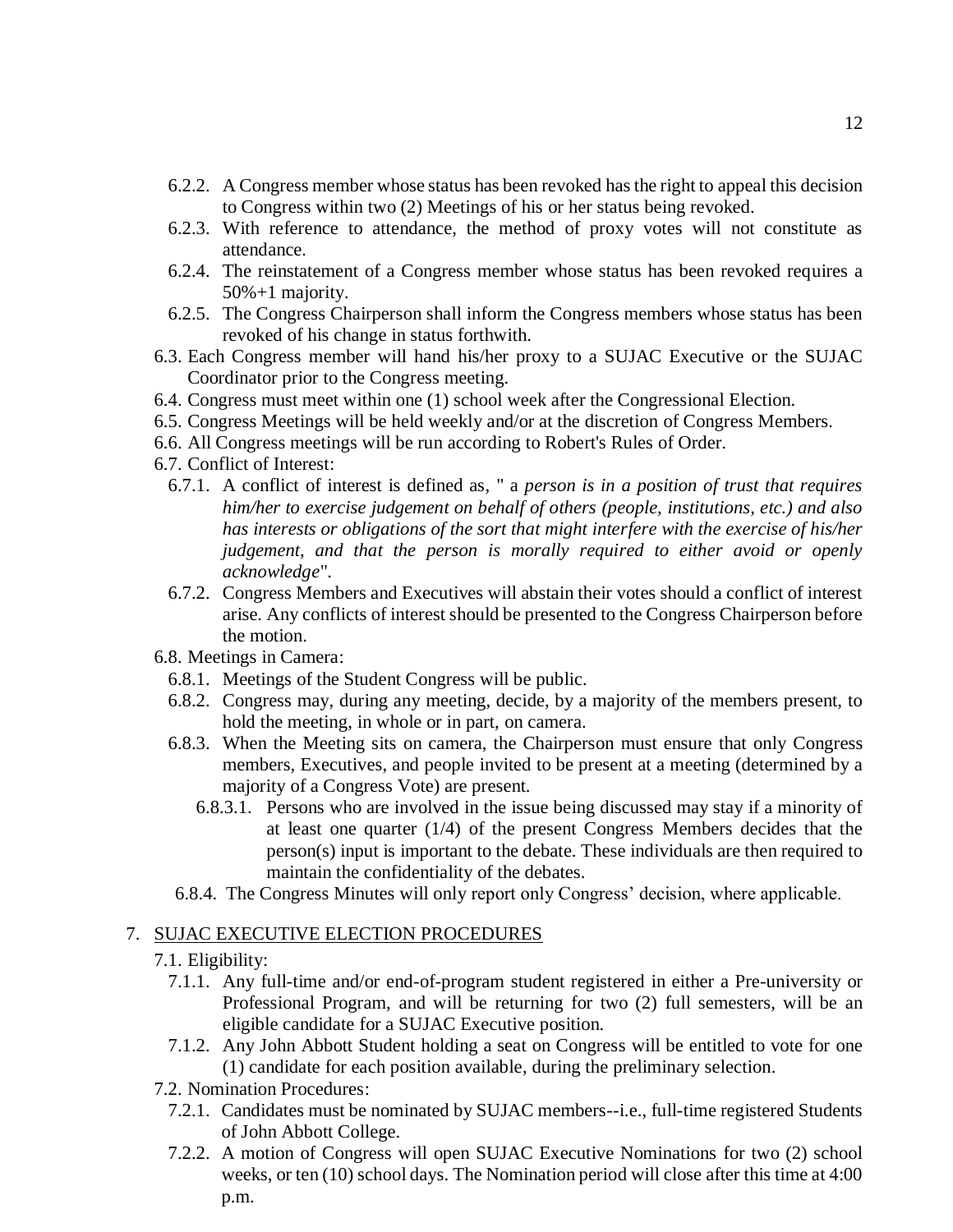- 6.2.2. A Congress member whose status has been revoked has the right to appeal this decision to Congress within two (2) Meetings of his or her status being revoked.
- 6.2.3. With reference to attendance, the method of proxy votes will not constitute as attendance.
- 6.2.4. The reinstatement of a Congress member whose status has been revoked requires a 50%+1 majority.
- 6.2.5. The Congress Chairperson shall inform the Congress members whose status has been revoked of his change in status forthwith.
- 6.3. Each Congress member will hand his/her proxy to a SUJAC Executive or the SUJAC Coordinator prior to the Congress meeting.
- 6.4. Congress must meet within one (1) school week after the Congressional Election.
- 6.5. Congress Meetings will be held weekly and/or at the discretion of Congress Members.
- 6.6. All Congress meetings will be run according to Robert's Rules of Order.
- 6.7. Conflict of Interest:
	- 6.7.1. A conflict of interest is defined as, " a *person is in a position of trust that requires him/her to exercise judgement on behalf of others (people, institutions, etc.) and also has interests or obligations of the sort that might interfere with the exercise of his/her judgement, and that the person is morally required to either avoid or openly acknowledge*".
	- 6.7.2. Congress Members and Executives will abstain their votes should a conflict of interest arise. Any conflicts of interest should be presented to the Congress Chairperson before the motion.
- 6.8. Meetings in Camera:
	- 6.8.1. Meetings of the Student Congress will be public.
	- 6.8.2. Congress may, during any meeting, decide, by a majority of the members present, to hold the meeting, in whole or in part, on camera.
	- 6.8.3. When the Meeting sits on camera, the Chairperson must ensure that only Congress members, Executives, and people invited to be present at a meeting (determined by a majority of a Congress Vote) are present.
		- 6.8.3.1. Persons who are involved in the issue being discussed may stay if a minority of at least one quarter (1/4) of the present Congress Members decides that the person(s) input is important to the debate. These individuals are then required to maintain the confidentiality of the debates.
	- 6.8.4. The Congress Minutes will only report only Congress' decision, where applicable.

## 7. SUJAC EXECUTIVE ELECTION PROCEDURES

- 7.1. Eligibility:
	- 7.1.1. Any full-time and/or end-of-program student registered in either a Pre-university or Professional Program, and will be returning for two (2) full semesters, will be an eligible candidate for a SUJAC Executive position.
	- 7.1.2. Any John Abbott Student holding a seat on Congress will be entitled to vote for one (1) candidate for each position available, during the preliminary selection.
- 7.2. Nomination Procedures:
	- 7.2.1. Candidates must be nominated by SUJAC members--i.e., full-time registered Students of John Abbott College.
	- 7.2.2. A motion of Congress will open SUJAC Executive Nominations for two (2) school weeks, or ten (10) school days. The Nomination period will close after this time at 4:00 p.m.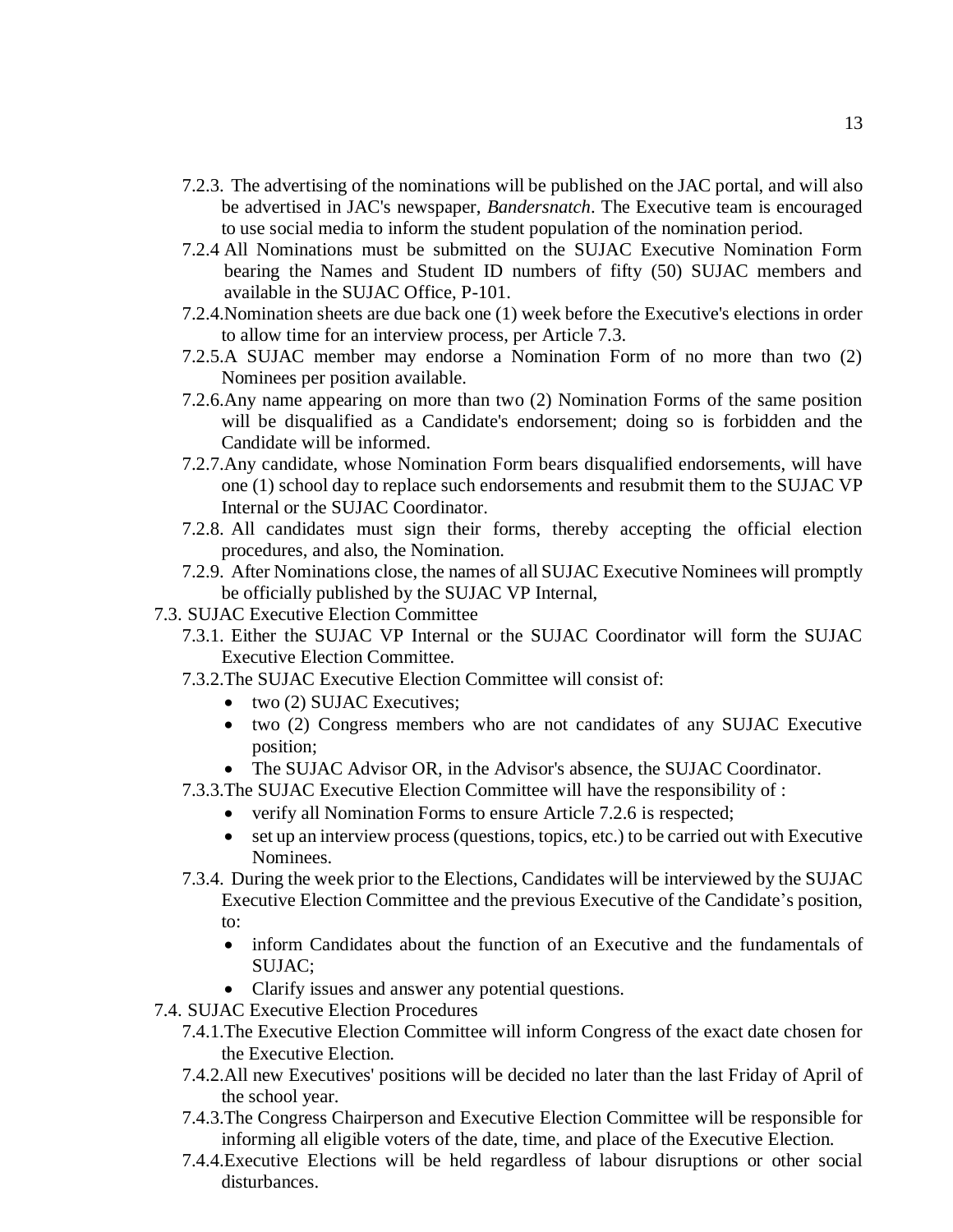- 7.2.3. The advertising of the nominations will be published on the JAC portal, and will also be advertised in JAC's newspaper, *Bandersnatch*. The Executive team is encouraged to use social media to inform the student population of the nomination period.
- 7.2.4 All Nominations must be submitted on the SUJAC Executive Nomination Form bearing the Names and Student ID numbers of fifty (50) SUJAC members and available in the SUJAC Office, P-101.
- 7.2.4.Nomination sheets are due back one (1) week before the Executive's elections in order to allow time for an interview process, per Article 7.3.
- 7.2.5.A SUJAC member may endorse a Nomination Form of no more than two (2) Nominees per position available.
- 7.2.6.Any name appearing on more than two (2) Nomination Forms of the same position will be disqualified as a Candidate's endorsement; doing so is forbidden and the Candidate will be informed.
- 7.2.7.Any candidate, whose Nomination Form bears disqualified endorsements, will have one (1) school day to replace such endorsements and resubmit them to the SUJAC VP Internal or the SUJAC Coordinator.
- 7.2.8. All candidates must sign their forms, thereby accepting the official election procedures, and also, the Nomination.
- 7.2.9. After Nominations close, the names of all SUJAC Executive Nominees will promptly be officially published by the SUJAC VP Internal,
- 7.3. SUJAC Executive Election Committee
	- 7.3.1. Either the SUJAC VP Internal or the SUJAC Coordinator will form the SUJAC Executive Election Committee.
	- 7.3.2.The SUJAC Executive Election Committee will consist of:
		- two (2) SUJAC Executives:
		- two (2) Congress members who are not candidates of any SUJAC Executive position;
		- The SUJAC Advisor OR, in the Advisor's absence, the SUJAC Coordinator.
	- 7.3.3.The SUJAC Executive Election Committee will have the responsibility of :
		- verify all Nomination Forms to ensure Article 7.2.6 is respected;
		- set up an interview process (questions, topics, etc.) to be carried out with Executive Nominees.
	- 7.3.4. During the week prior to the Elections, Candidates will be interviewed by the SUJAC Executive Election Committee and the previous Executive of the Candidate's position, to:
		- inform Candidates about the function of an Executive and the fundamentals of SUJAC;
		- Clarify issues and answer any potential questions.
- 7.4. SUJAC Executive Election Procedures
	- 7.4.1.The Executive Election Committee will inform Congress of the exact date chosen for the Executive Election.
	- 7.4.2.All new Executives' positions will be decided no later than the last Friday of April of the school year.
	- 7.4.3.The Congress Chairperson and Executive Election Committee will be responsible for informing all eligible voters of the date, time, and place of the Executive Election.
	- 7.4.4.Executive Elections will be held regardless of labour disruptions or other social disturbances.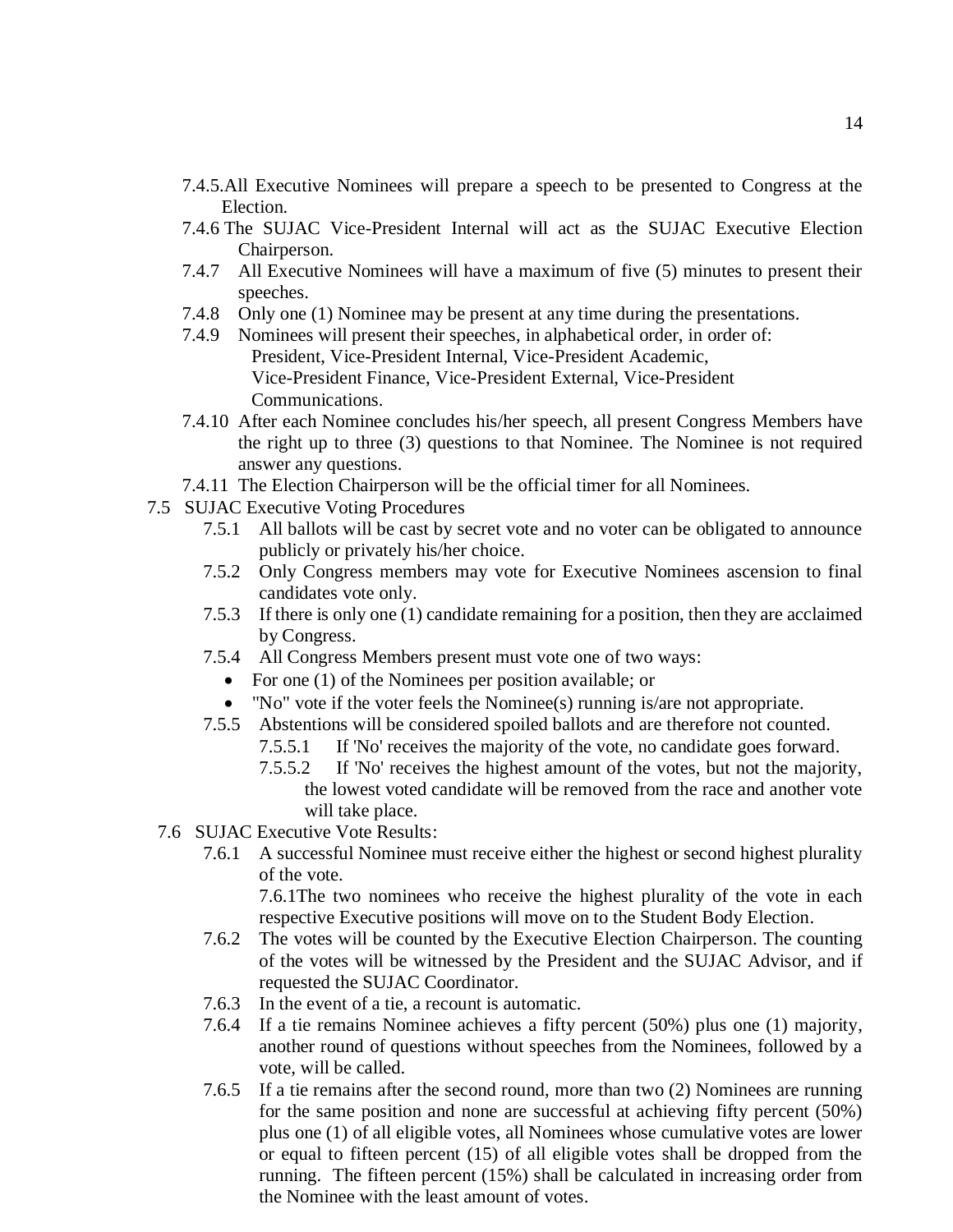- 7.4.5.All Executive Nominees will prepare a speech to be presented to Congress at the Election.
- 7.4.6 The SUJAC Vice-President Internal will act as the SUJAC Executive Election Chairperson.
- 7.4.7 All Executive Nominees will have a maximum of five (5) minutes to present their speeches.
- 7.4.8 Only one (1) Nominee may be present at any time during the presentations.
- 7.4.9 Nominees will present their speeches, in alphabetical order, in order of: President, Vice-President Internal, Vice-President Academic, Vice-President Finance, Vice-President External, Vice-President Communications.
- 7.4.10 After each Nominee concludes his/her speech, all present Congress Members have the right up to three (3) questions to that Nominee. The Nominee is not required answer any questions.
- 7.4.11 The Election Chairperson will be the official timer for all Nominees.
- 7.5 SUJAC Executive Voting Procedures
	- 7.5.1 All ballots will be cast by secret vote and no voter can be obligated to announce publicly or privately his/her choice.
	- 7.5.2 Only Congress members may vote for Executive Nominees ascension to final candidates vote only.
	- 7.5.3 If there is only one (1) candidate remaining for a position, then they are acclaimed by Congress.
	- 7.5.4 All Congress Members present must vote one of two ways:
		- For one (1) of the Nominees per position available; or
		- "No" vote if the voter feels the Nominee(s) running is/are not appropriate.
	- 7.5.5 Abstentions will be considered spoiled ballots and are therefore not counted.
		- 7.5.5.1 If 'No' receives the majority of the vote, no candidate goes forward.
		- 7.5.5.2 If 'No' receives the highest amount of the votes, but not the majority, the lowest voted candidate will be removed from the race and another vote will take place.
	- 7.6 SUJAC Executive Vote Results:
		- 7.6.1 A successful Nominee must receive either the highest or second highest plurality of the vote.

7.6.1The two nominees who receive the highest plurality of the vote in each respective Executive positions will move on to the Student Body Election.

- 7.6.2 The votes will be counted by the Executive Election Chairperson. The counting of the votes will be witnessed by the President and the SUJAC Advisor, and if requested the SUJAC Coordinator.
- 7.6.3 In the event of a tie, a recount is automatic.
- 7.6.4 If a tie remains Nominee achieves a fifty percent (50%) plus one (1) majority, another round of questions without speeches from the Nominees, followed by a vote, will be called.
- 7.6.5 If a tie remains after the second round, more than two (2) Nominees are running for the same position and none are successful at achieving fifty percent (50%) plus one (1) of all eligible votes, all Nominees whose cumulative votes are lower or equal to fifteen percent (15) of all eligible votes shall be dropped from the running. The fifteen percent (15%) shall be calculated in increasing order from the Nominee with the least amount of votes.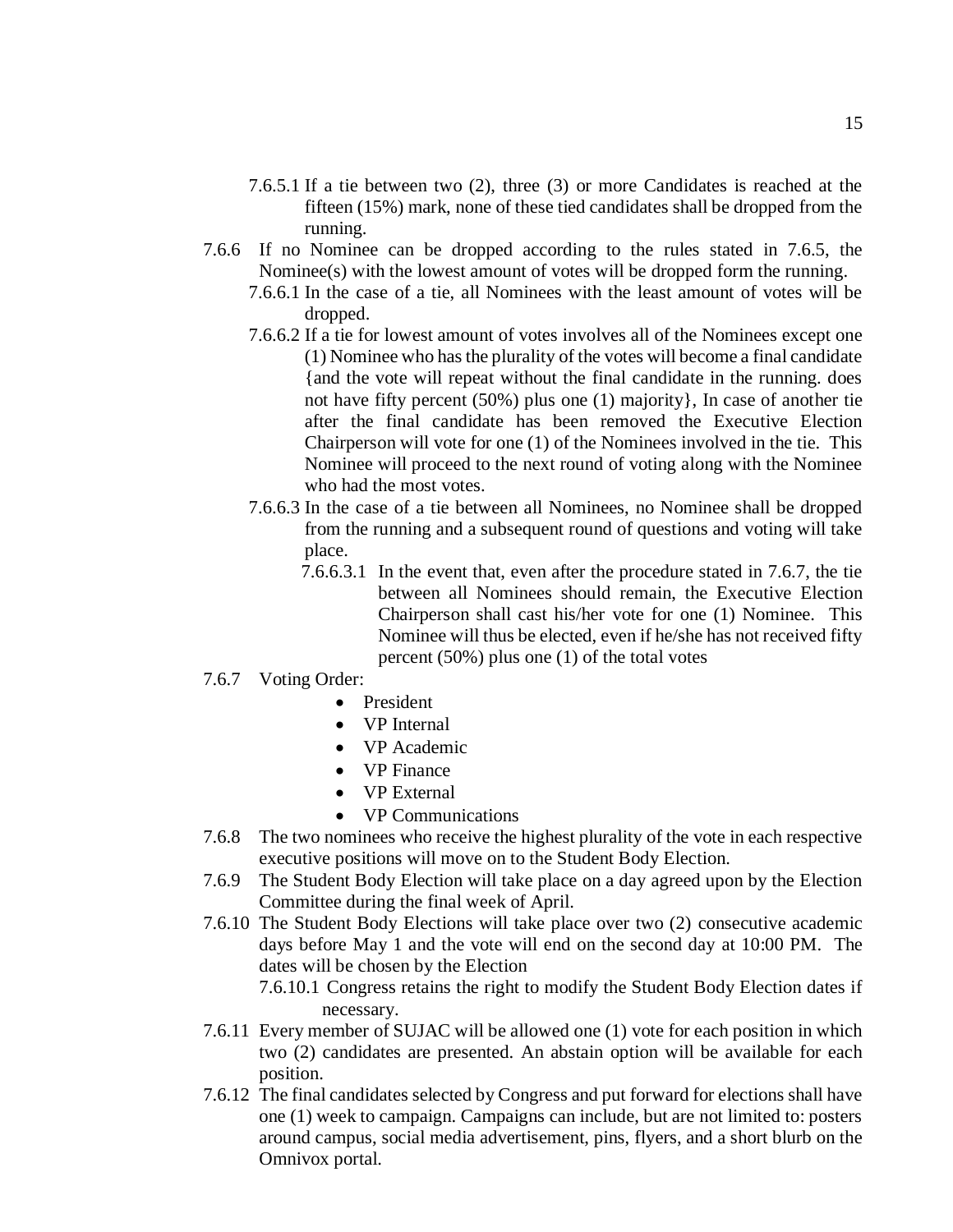- 7.6.5.1 If a tie between two (2), three (3) or more Candidates is reached at the fifteen (15%) mark, none of these tied candidates shall be dropped from the running.
- 7.6.6 If no Nominee can be dropped according to the rules stated in 7.6.5, the Nominee(s) with the lowest amount of votes will be dropped form the running.
	- 7.6.6.1 In the case of a tie, all Nominees with the least amount of votes will be dropped.
	- 7.6.6.2 If a tie for lowest amount of votes involves all of the Nominees except one (1) Nominee who has the plurality of the votes will become a final candidate {and the vote will repeat without the final candidate in the running. does not have fifty percent (50%) plus one (1) majority}, In case of another tie after the final candidate has been removed the Executive Election Chairperson will vote for one (1) of the Nominees involved in the tie. This Nominee will proceed to the next round of voting along with the Nominee who had the most votes.
	- 7.6.6.3 In the case of a tie between all Nominees, no Nominee shall be dropped from the running and a subsequent round of questions and voting will take place.
		- 7.6.6.3.1 In the event that, even after the procedure stated in 7.6.7, the tie between all Nominees should remain, the Executive Election Chairperson shall cast his/her vote for one (1) Nominee. This Nominee will thus be elected, even if he/she has not received fifty percent (50%) plus one (1) of the total votes
- 7.6.7 Voting Order:
	- **President**
	- VP Internal
	- VP Academic
	- VP Finance
	- VP External
	- VP Communications
- 7.6.8 The two nominees who receive the highest plurality of the vote in each respective executive positions will move on to the Student Body Election.
- 7.6.9 The Student Body Election will take place on a day agreed upon by the Election Committee during the final week of April.
- 7.6.10 The Student Body Elections will take place over two (2) consecutive academic days before May 1 and the vote will end on the second day at 10:00 PM. The dates will be chosen by the Election

7.6.10.1 Congress retains the right to modify the Student Body Election dates if necessary.

- 7.6.11 Every member of SUJAC will be allowed one (1) vote for each position in which two (2) candidates are presented. An abstain option will be available for each position.
- 7.6.12 The final candidates selected by Congress and put forward for elections shall have one (1) week to campaign. Campaigns can include, but are not limited to: posters around campus, social media advertisement, pins, flyers, and a short blurb on the Omnivox portal.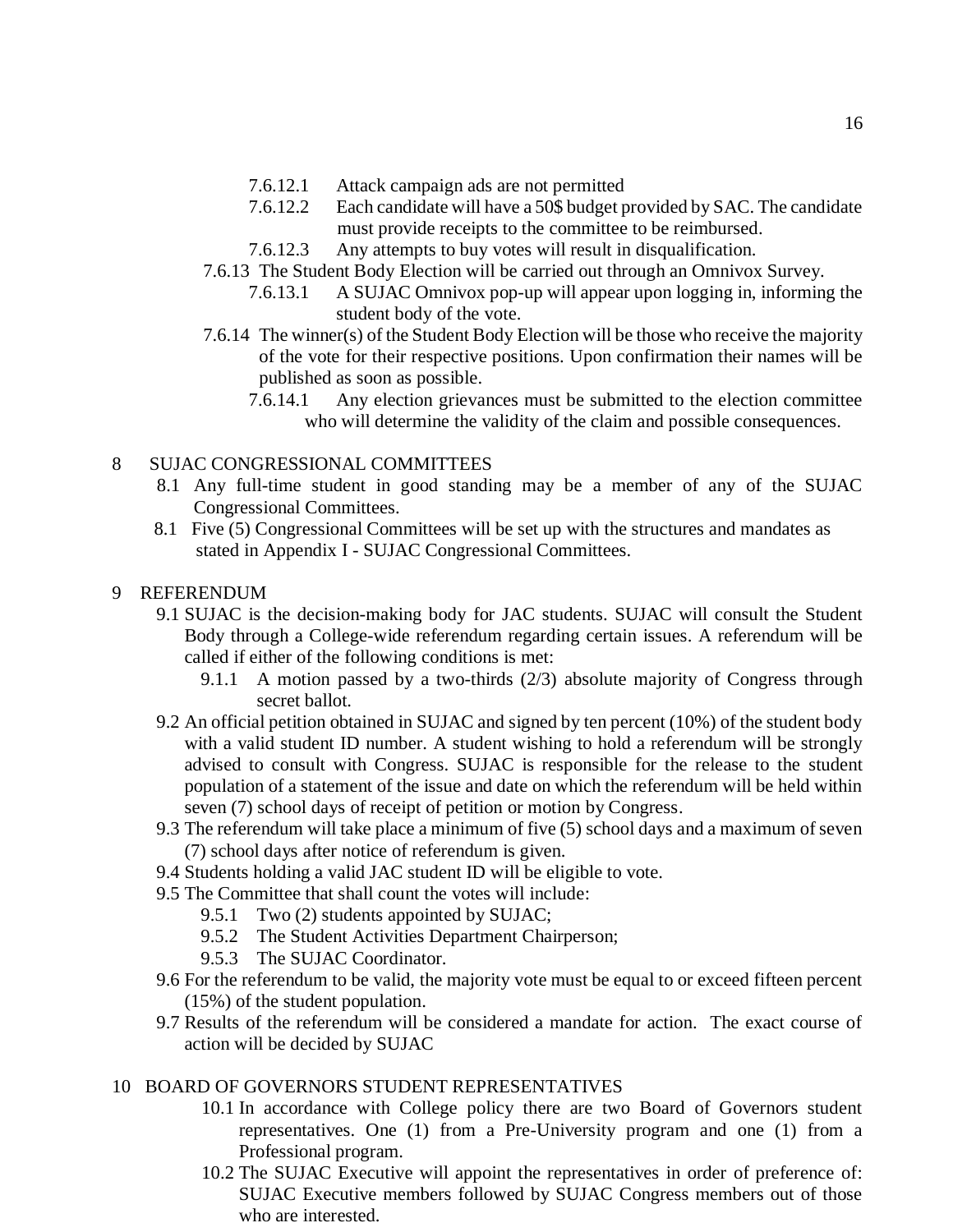- 7.6.12.1 Attack campaign ads are not permitted
- 7.6.12.2 Each candidate will have a 50\$ budget provided by SAC. The candidate must provide receipts to the committee to be reimbursed.
- 7.6.12.3 Any attempts to buy votes will result in disqualification.
- 7.6.13 The Student Body Election will be carried out through an Omnivox Survey.
	- 7.6.13.1 A SUJAC Omnivox pop-up will appear upon logging in, informing the student body of the vote.
- 7.6.14 The winner(s) of the Student Body Election will be those who receive the majority of the vote for their respective positions. Upon confirmation their names will be published as soon as possible.
	- 7.6.14.1 Any election grievances must be submitted to the election committee who will determine the validity of the claim and possible consequences.

## 8 SUJAC CONGRESSIONAL COMMITTEES

- 8.1 Any full-time student in good standing may be a member of any of the SUJAC Congressional Committees.
- 8.1 Five (5) Congressional Committees will be set up with the structures and mandates as stated in Appendix I - SUJAC Congressional Committees.

## 9 REFERENDUM

- 9.1 SUJAC is the decision-making body for JAC students. SUJAC will consult the Student Body through a College-wide referendum regarding certain issues. A referendum will be called if either of the following conditions is met:
	- 9.1.1 A motion passed by a two-thirds (2/3) absolute majority of Congress through secret ballot.
- 9.2 An official petition obtained in SUJAC and signed by ten percent (10%) of the student body with a valid student ID number. A student wishing to hold a referendum will be strongly advised to consult with Congress. SUJAC is responsible for the release to the student population of a statement of the issue and date on which the referendum will be held within seven (7) school days of receipt of petition or motion by Congress.
- 9.3 The referendum will take place a minimum of five (5) school days and a maximum of seven (7) school days after notice of referendum is given.
- 9.4 Students holding a valid JAC student ID will be eligible to vote.
- 9.5 The Committee that shall count the votes will include:
	- 9.5.1 Two (2) students appointed by SUJAC;
	- 9.5.2 The Student Activities Department Chairperson;
	- 9.5.3 The SUJAC Coordinator.
- 9.6 For the referendum to be valid, the majority vote must be equal to or exceed fifteen percent (15%) of the student population.
- 9.7 Results of the referendum will be considered a mandate for action. The exact course of action will be decided by SUJAC

## 10 BOARD OF GOVERNORS STUDENT REPRESENTATIVES

- 10.1 In accordance with College policy there are two Board of Governors student representatives. One (1) from a Pre-University program and one (1) from a Professional program.
- 10.2 The SUJAC Executive will appoint the representatives in order of preference of: SUJAC Executive members followed by SUJAC Congress members out of those who are interested.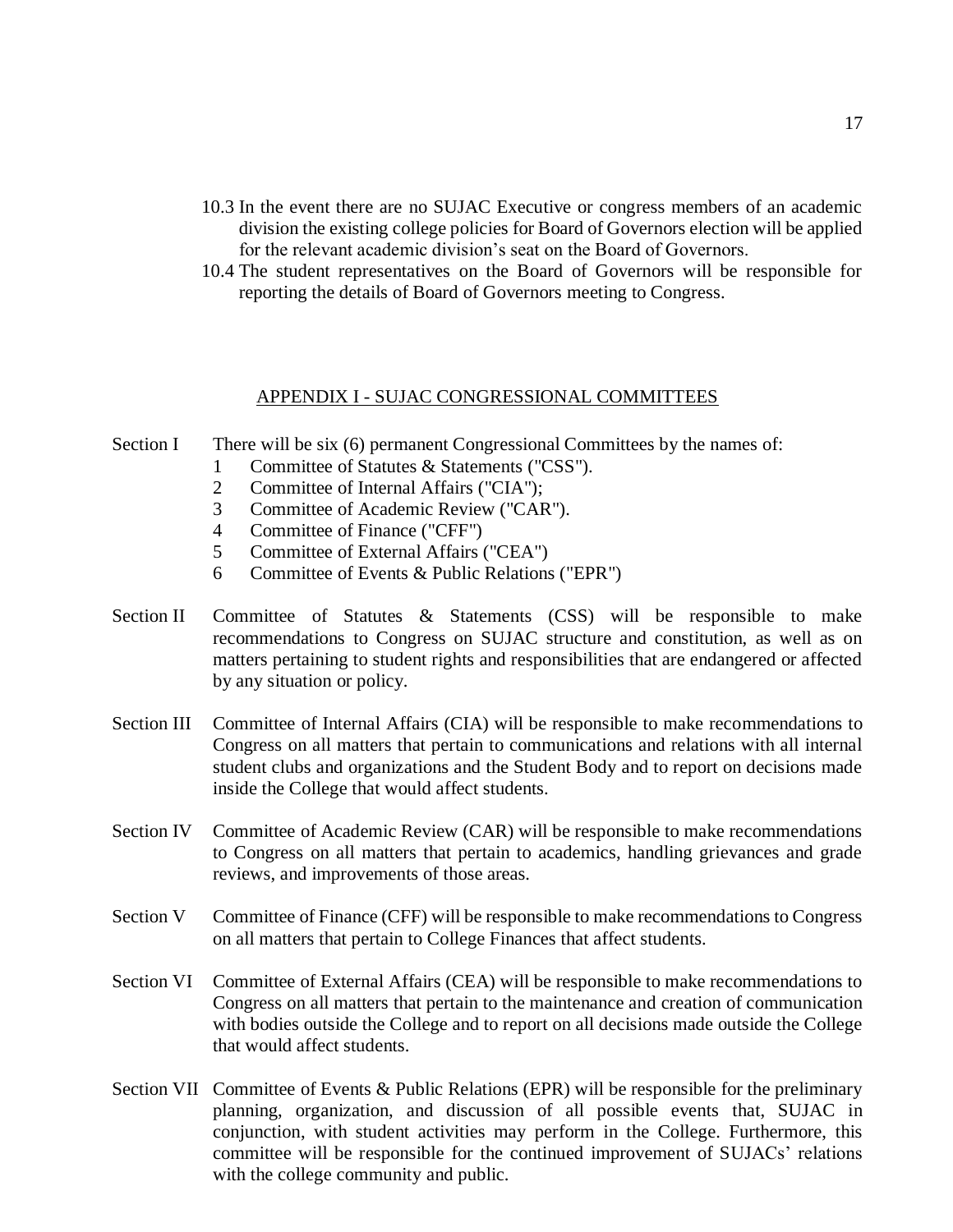- 10.3 In the event there are no SUJAC Executive or congress members of an academic division the existing college policies for Board of Governors election will be applied for the relevant academic division's seat on the Board of Governors.
- 10.4 The student representatives on the Board of Governors will be responsible for reporting the details of Board of Governors meeting to Congress.

#### APPENDIX I - SUJAC CONGRESSIONAL COMMITTEES

#### Section I There will be six (6) permanent Congressional Committees by the names of:

- 1 Committee of Statutes & Statements ("CSS").
- 2 Committee of Internal Affairs ("CIA");
- 3 Committee of Academic Review ("CAR").
- 4 Committee of Finance ("CFF")
- 5 Committee of External Affairs ("CEA")
- 6 Committee of Events & Public Relations ("EPR")
- Section II Committee of Statutes & Statements (CSS) will be responsible to make recommendations to Congress on SUJAC structure and constitution, as well as on matters pertaining to student rights and responsibilities that are endangered or affected by any situation or policy.
- Section III Committee of Internal Affairs (CIA) will be responsible to make recommendations to Congress on all matters that pertain to communications and relations with all internal student clubs and organizations and the Student Body and to report on decisions made inside the College that would affect students.
- Section IV Committee of Academic Review (CAR) will be responsible to make recommendations to Congress on all matters that pertain to academics, handling grievances and grade reviews, and improvements of those areas.
- Section V Committee of Finance (CFF) will be responsible to make recommendations to Congress on all matters that pertain to College Finances that affect students.
- Section VI Committee of External Affairs (CEA) will be responsible to make recommendations to Congress on all matters that pertain to the maintenance and creation of communication with bodies outside the College and to report on all decisions made outside the College that would affect students.
- Section VII Committee of Events & Public Relations (EPR) will be responsible for the preliminary planning, organization, and discussion of all possible events that, SUJAC in conjunction, with student activities may perform in the College. Furthermore, this committee will be responsible for the continued improvement of SUJACs' relations with the college community and public.